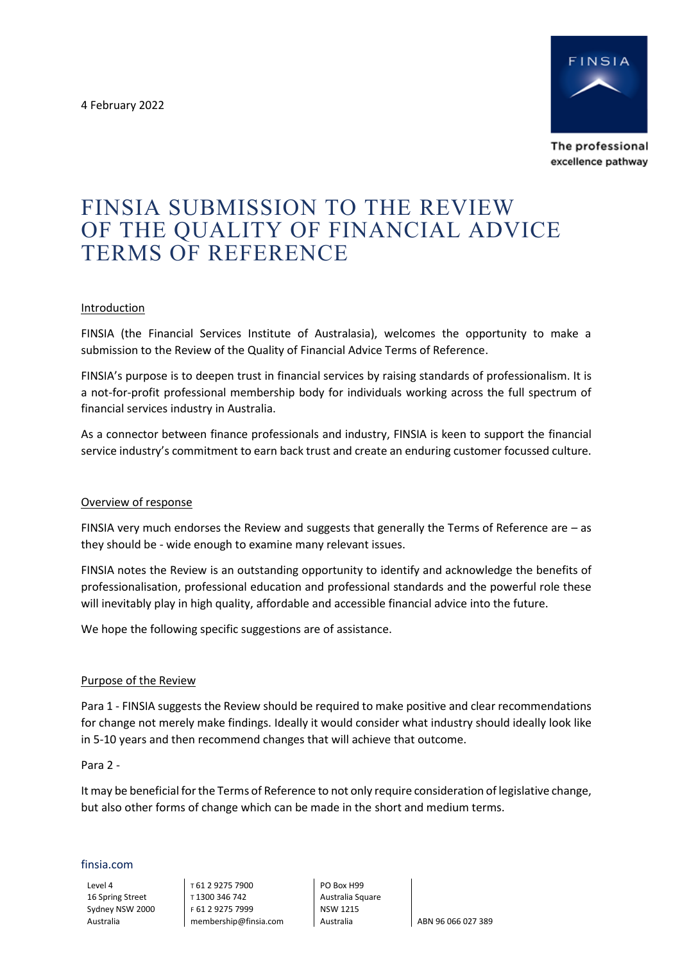4 February 2022



The professional excellence pathway

# FINSIA SUBMISSION TO THE REVIEW OF THE QUALITY OF FINANCIAL ADVICE TERMS OF REFERENCE

## **Introduction**

FINSIA (the Financial Services Institute of Australasia), welcomes the opportunity to make a submission to the Review of the Quality of Financial Advice Terms of Reference.

FINSIA's purpose is to deepen trust in financial services by raising standards of professionalism. It is a not-for-profit professional membership body for individuals working across the full spectrum of financial services industry in Australia.

As a connector between finance professionals and industry, FINSIA is keen to support the financial service industry's commitment to earn back trust and create an enduring customer focussed culture.

## Overview of response

FINSIA very much endorses the Review and suggests that generally the Terms of Reference are – as they should be - wide enough to examine many relevant issues.

FINSIA notes the Review is an outstanding opportunity to identify and acknowledge the benefits of professionalisation, professional education and professional standards and the powerful role these will inevitably play in high quality, affordable and accessible financial advice into the future.

We hope the following specific suggestions are of assistance.

### Purpose of the Review

Para 1 - FINSIA suggests the Review should be required to make positive and clear recommendations for change not merely make findings. Ideally it would consider what industry should ideally look like in 5-10 years and then recommend changes that will achieve that outcome.

Para 2 -

It may be beneficial for the Terms of Reference to not only require consideration of legislative change, but also other forms of change which can be made in the short and medium terms.

#### finsia.com

Level 4 16 Spring Street Sydney NSW 2000 Australia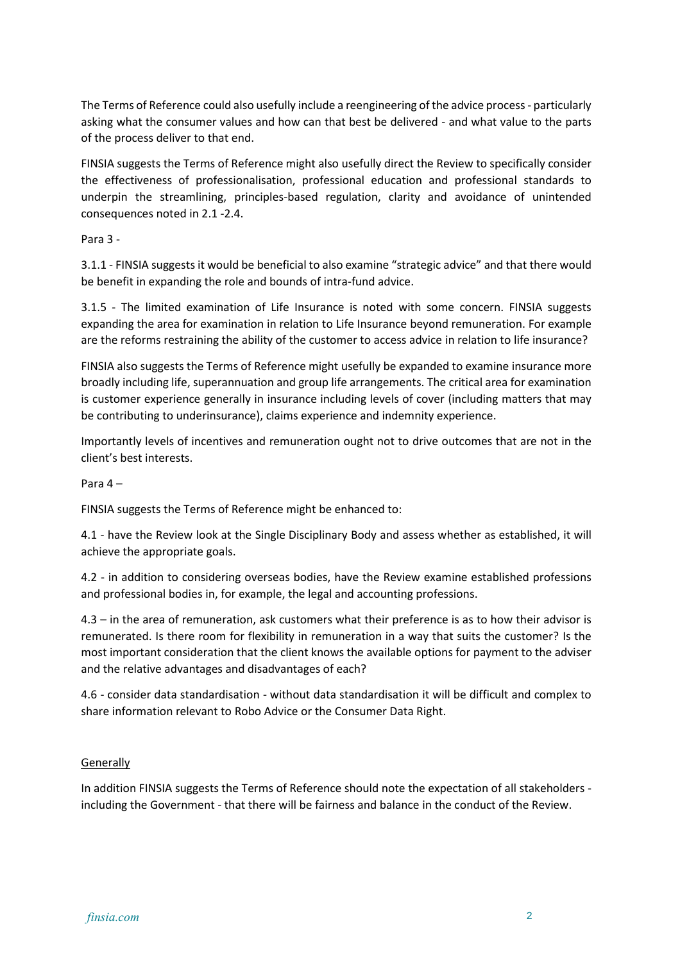The Terms of Reference could also usefully include a reengineering of the advice process- particularly asking what the consumer values and how can that best be delivered - and what value to the parts of the process deliver to that end.

FINSIA suggests the Terms of Reference might also usefully direct the Review to specifically consider the effectiveness of professionalisation, professional education and professional standards to underpin the streamlining, principles-based regulation, clarity and avoidance of unintended consequences noted in 2.1 -2.4.

Para 3 -

3.1.1 - FINSIA suggests it would be beneficial to also examine "strategic advice" and that there would be benefit in expanding the role and bounds of intra-fund advice.

3.1.5 - The limited examination of Life Insurance is noted with some concern. FINSIA suggests expanding the area for examination in relation to Life Insurance beyond remuneration. For example are the reforms restraining the ability of the customer to access advice in relation to life insurance?

FINSIA also suggests the Terms of Reference might usefully be expanded to examine insurance more broadly including life, superannuation and group life arrangements. The critical area for examination is customer experience generally in insurance including levels of cover (including matters that may be contributing to underinsurance), claims experience and indemnity experience.

Importantly levels of incentives and remuneration ought not to drive outcomes that are not in the client's best interests.

Para 4 –

FINSIA suggests the Terms of Reference might be enhanced to:

4.1 - have the Review look at the Single Disciplinary Body and assess whether as established, it will achieve the appropriate goals.

4.2 - in addition to considering overseas bodies, have the Review examine established professions and professional bodies in, for example, the legal and accounting professions.

4.3 – in the area of remuneration, ask customers what their preference is as to how their advisor is remunerated. Is there room for flexibility in remuneration in a way that suits the customer? Is the most important consideration that the client knows the available options for payment to the adviser and the relative advantages and disadvantages of each?

4.6 - consider data standardisation - without data standardisation it will be difficult and complex to share information relevant to Robo Advice or the Consumer Data Right.

## **Generally**

In addition FINSIA suggests the Terms of Reference should note the expectation of all stakeholders including the Government - that there will be fairness and balance in the conduct of the Review.